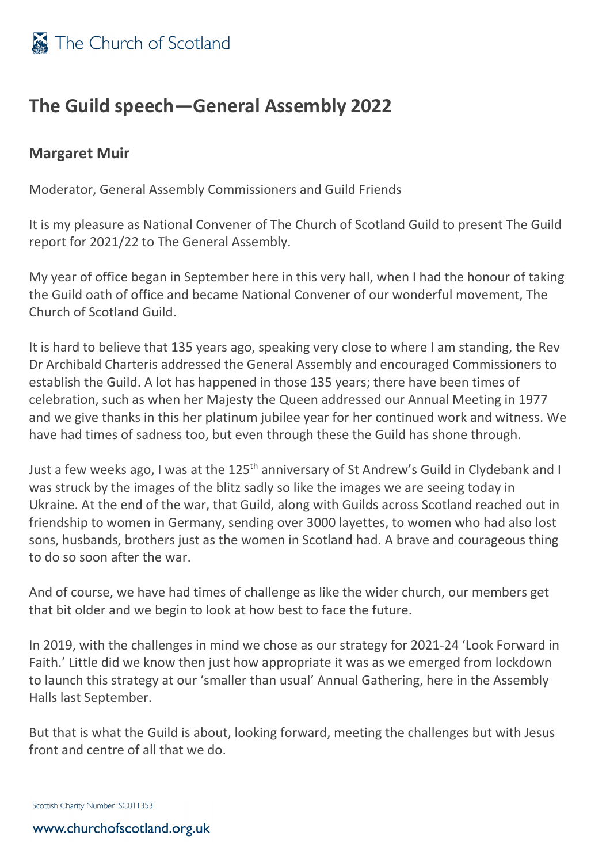

## **The Guild speech—General Assembly 2022**

## **Margaret Muir**

Moderator, General Assembly Commissioners and Guild Friends

It is my pleasure as National Convener of The Church of Scotland Guild to present The Guild report for 2021/22 to The General Assembly.

My year of office began in September here in this very hall, when I had the honour of taking the Guild oath of office and became National Convener of our wonderful movement, The Church of Scotland Guild.

It is hard to believe that 135 years ago, speaking very close to where I am standing, the Rev Dr Archibald Charteris addressed the General Assembly and encouraged Commissioners to establish the Guild. A lot has happened in those 135 years; there have been times of celebration, such as when her Majesty the Queen addressed our Annual Meeting in 1977 and we give thanks in this her platinum jubilee year for her continued work and witness. We have had times of sadness too, but even through these the Guild has shone through.

Just a few weeks ago, I was at the 125<sup>th</sup> anniversary of St Andrew's Guild in Clydebank and I was struck by the images of the blitz sadly so like the images we are seeing today in Ukraine. At the end of the war, that Guild, along with Guilds across Scotland reached out in friendship to women in Germany, sending over 3000 layettes, to women who had also lost sons, husbands, brothers just as the women in Scotland had. A brave and courageous thing to do so soon after the war.

And of course, we have had times of challenge as like the wider church, our members get that bit older and we begin to look at how best to face the future.

In 2019, with the challenges in mind we chose as our strategy for 2021-24 'Look Forward in Faith.' Little did we know then just how appropriate it was as we emerged from lockdown to launch this strategy at our 'smaller than usual' Annual Gathering, here in the Assembly Halls last September.

But that is what the Guild is about, looking forward, meeting the challenges but with Jesus front and centre of all that we do.

Scottish Charity Number: SC011353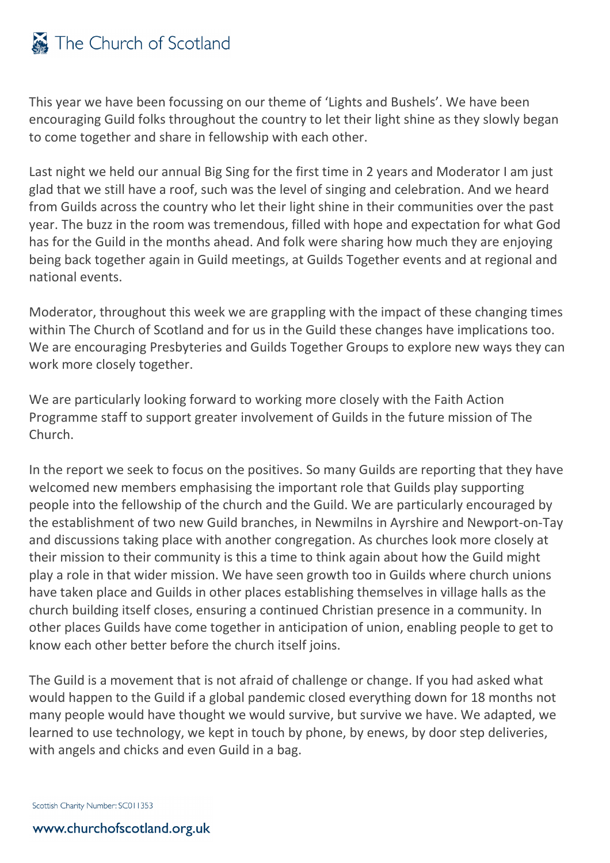## The Church of Scotland

This year we have been focussing on our theme of 'Lights and Bushels'. We have been encouraging Guild folks throughout the country to let their light shine as they slowly began to come together and share in fellowship with each other.

Last night we held our annual Big Sing for the first time in 2 years and Moderator I am just glad that we still have a roof, such was the level of singing and celebration. And we heard from Guilds across the country who let their light shine in their communities over the past year. The buzz in the room was tremendous, filled with hope and expectation for what God has for the Guild in the months ahead. And folk were sharing how much they are enjoying being back together again in Guild meetings, at Guilds Together events and at regional and national events.

Moderator, throughout this week we are grappling with the impact of these changing times within The Church of Scotland and for us in the Guild these changes have implications too. We are encouraging Presbyteries and Guilds Together Groups to explore new ways they can work more closely together.

We are particularly looking forward to working more closely with the Faith Action Programme staff to support greater involvement of Guilds in the future mission of The Church.

In the report we seek to focus on the positives. So many Guilds are reporting that they have welcomed new members emphasising the important role that Guilds play supporting people into the fellowship of the church and the Guild. We are particularly encouraged by the establishment of two new Guild branches, in Newmilns in Ayrshire and Newport-on-Tay and discussions taking place with another congregation. As churches look more closely at their mission to their community is this a time to think again about how the Guild might play a role in that wider mission. We have seen growth too in Guilds where church unions have taken place and Guilds in other places establishing themselves in village halls as the church building itself closes, ensuring a continued Christian presence in a community. In other places Guilds have come together in anticipation of union, enabling people to get to know each other better before the church itself joins.

The Guild is a movement that is not afraid of challenge or change. If you had asked what would happen to the Guild if a global pandemic closed everything down for 18 months not many people would have thought we would survive, but survive we have. We adapted, we learned to use technology, we kept in touch by phone, by enews, by door step deliveries, with angels and chicks and even Guild in a bag.

Scottish Charity Number: SC011353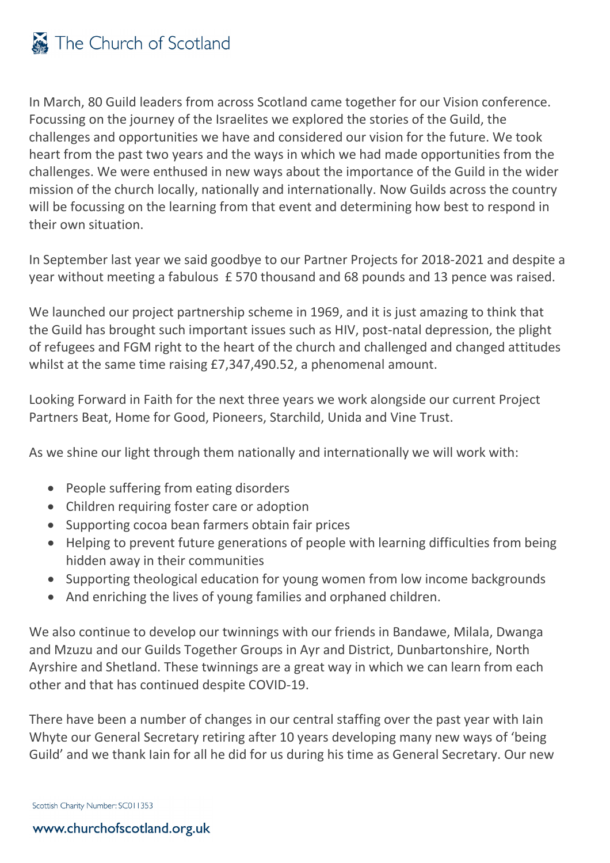In March, 80 Guild leaders from across Scotland came together for our Vision conference. Focussing on the journey of the Israelites we explored the stories of the Guild, the challenges and opportunities we have and considered our vision for the future. We took heart from the past two years and the ways in which we had made opportunities from the challenges. We were enthused in new ways about the importance of the Guild in the wider mission of the church locally, nationally and internationally. Now Guilds across the country will be focussing on the learning from that event and determining how best to respond in their own situation.

In September last year we said goodbye to our Partner Projects for 2018-2021 and despite a year without meeting a fabulous £ 570 thousand and 68 pounds and 13 pence was raised.

We launched our project partnership scheme in 1969, and it is just amazing to think that the Guild has brought such important issues such as HIV, post-natal depression, the plight of refugees and FGM right to the heart of the church and challenged and changed attitudes whilst at the same time raising £7,347,490.52, a phenomenal amount.

Looking Forward in Faith for the next three years we work alongside our current Project Partners Beat, Home for Good, Pioneers, Starchild, Unida and Vine Trust.

As we shine our light through them nationally and internationally we will work with:

- People suffering from eating disorders
- Children requiring foster care or adoption
- Supporting cocoa bean farmers obtain fair prices
- Helping to prevent future generations of people with learning difficulties from being hidden away in their communities
- Supporting theological education for young women from low income backgrounds
- And enriching the lives of young families and orphaned children.

We also continue to develop our twinnings with our friends in Bandawe, Milala, Dwanga and Mzuzu and our Guilds Together Groups in Ayr and District, Dunbartonshire, North Ayrshire and Shetland. These twinnings are a great way in which we can learn from each other and that has continued despite COVID-19.

There have been a number of changes in our central staffing over the past year with Iain Whyte our General Secretary retiring after 10 years developing many new ways of 'being Guild' and we thank Iain for all he did for us during his time as General Secretary. Our new

Scottish Charity Number: SC011353